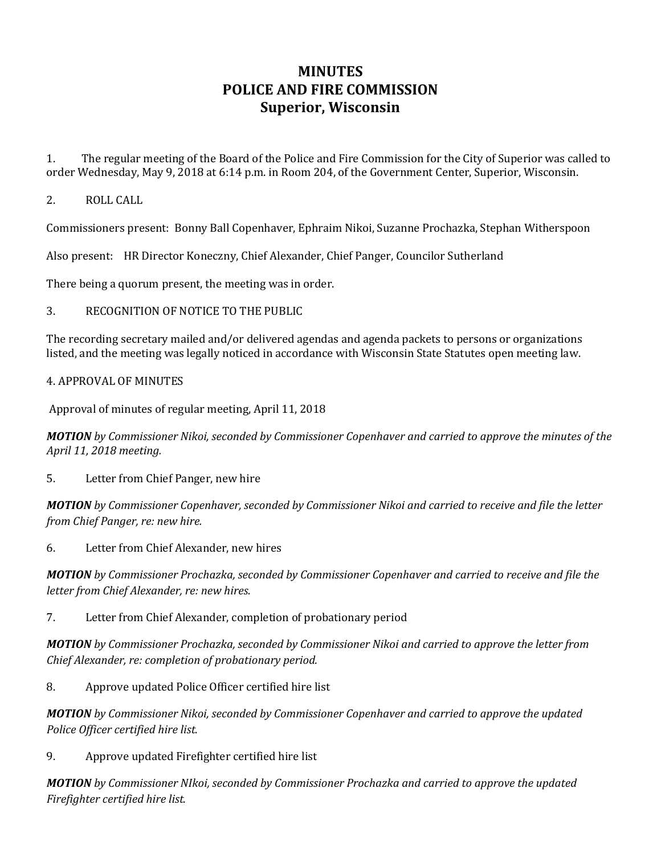# **MINUTES POLICE AND FIRE COMMISSION Superior, Wisconsin**

1. The regular meeting of the Board of the Police and Fire Commission for the City of Superior was called to order Wednesday, May 9, 2018 at 6:14 p.m. in Room 204, of the Government Center, Superior, Wisconsin.

### 2. ROLL CALL

Commissioners present: Bonny Ball Copenhaver, Ephraim Nikoi, Suzanne Prochazka, Stephan Witherspoon

Also present: HR Director Koneczny, Chief Alexander, Chief Panger, Councilor Sutherland

There being a quorum present, the meeting was in order.

#### 3. RECOGNITION OF NOTICE TO THE PUBLIC

The recording secretary mailed and/or delivered agendas and agenda packets to persons or organizations listed, and the meeting was legally noticed in accordance with Wisconsin State Statutes open meeting law.

#### 4. APPROVAL OF MINUTES

Approval of minutes of regular meeting, April 11, 2018

*MOTION by Commissioner Nikoi, seconded by Commissioner Copenhaver and carried to approve the minutes of the April 11, 2018 meeting.* 

5. Letter from Chief Panger, new hire

*MOTION by Commissioner Copenhaver, seconded by Commissioner Nikoi and carried to receive and file the letter from Chief Panger, re: new hire.* 

6. Letter from Chief Alexander, new hires

*MOTION by Commissioner Prochazka, seconded by Commissioner Copenhaver and carried to receive and file the letter from Chief Alexander, re: new hires.*

7. Letter from Chief Alexander, completion of probationary period

*MOTION by Commissioner Prochazka, seconded by Commissioner Nikoi and carried to approve the letter from Chief Alexander, re: completion of probationary period.* 

8. Approve updated Police Officer certified hire list

*MOTION by Commissioner Nikoi, seconded by Commissioner Copenhaver and carried to approve the updated Police Officer certified hire list.*

9. Approve updated Firefighter certified hire list

*MOTION by Commissioner NIkoi, seconded by Commissioner Prochazka and carried to approve the updated Firefighter certified hire list.*